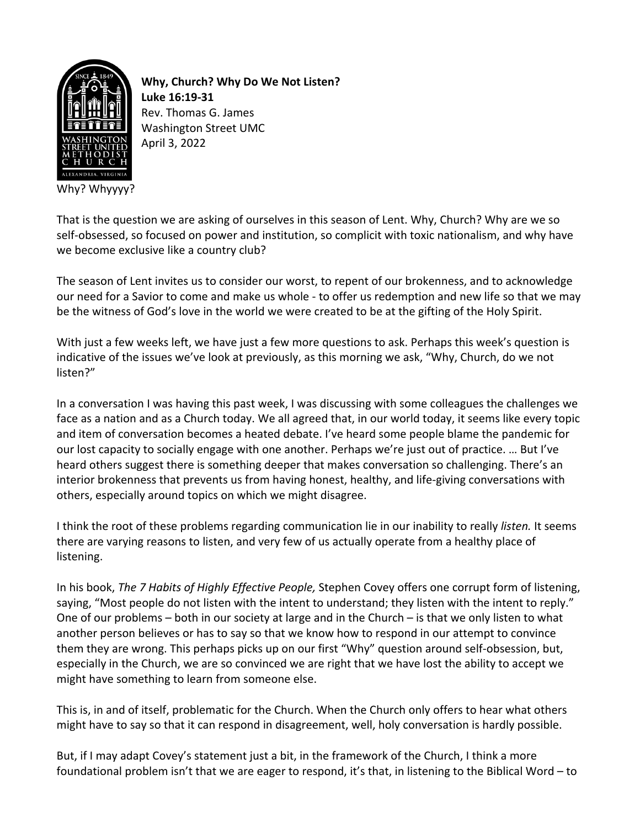

**Why, Church? Why Do We Not Listen? Luke 16:19-31** Rev. Thomas G. James Washington Street UMC April 3, 2022

That is the question we are asking of ourselves in this season of Lent. Why, Church? Why are we so self-obsessed, so focused on power and institution, so complicit with toxic nationalism, and why have we become exclusive like a country club?

The season of Lent invites us to consider our worst, to repent of our brokenness, and to acknowledge our need for a Savior to come and make us whole - to offer us redemption and new life so that we may be the witness of God's love in the world we were created to be at the gifting of the Holy Spirit.

With just a few weeks left, we have just a few more questions to ask. Perhaps this week's question is indicative of the issues we've look at previously, as this morning we ask, "Why, Church, do we not listen?"

In a conversation I was having this past week, I was discussing with some colleagues the challenges we face as a nation and as a Church today. We all agreed that, in our world today, it seems like every topic and item of conversation becomes a heated debate. I've heard some people blame the pandemic for our lost capacity to socially engage with one another. Perhaps we're just out of practice. … But I've heard others suggest there is something deeper that makes conversation so challenging. There's an interior brokenness that prevents us from having honest, healthy, and life-giving conversations with others, especially around topics on which we might disagree.

I think the root of these problems regarding communication lie in our inability to really *listen.* It seems there are varying reasons to listen, and very few of us actually operate from a healthy place of listening.

In his book, *The 7 Habits of Highly Effective People,* Stephen Covey offers one corrupt form of listening, saying, "Most people do not listen with the intent to understand; they listen with the intent to reply." One of our problems – both in our society at large and in the Church – is that we only listen to what another person believes or has to say so that we know how to respond in our attempt to convince them they are wrong. This perhaps picks up on our first "Why" question around self-obsession, but, especially in the Church, we are so convinced we are right that we have lost the ability to accept we might have something to learn from someone else.

This is, in and of itself, problematic for the Church. When the Church only offers to hear what others might have to say so that it can respond in disagreement, well, holy conversation is hardly possible.

But, if I may adapt Covey's statement just a bit, in the framework of the Church, I think a more foundational problem isn't that we are eager to respond, it's that, in listening to the Biblical Word – to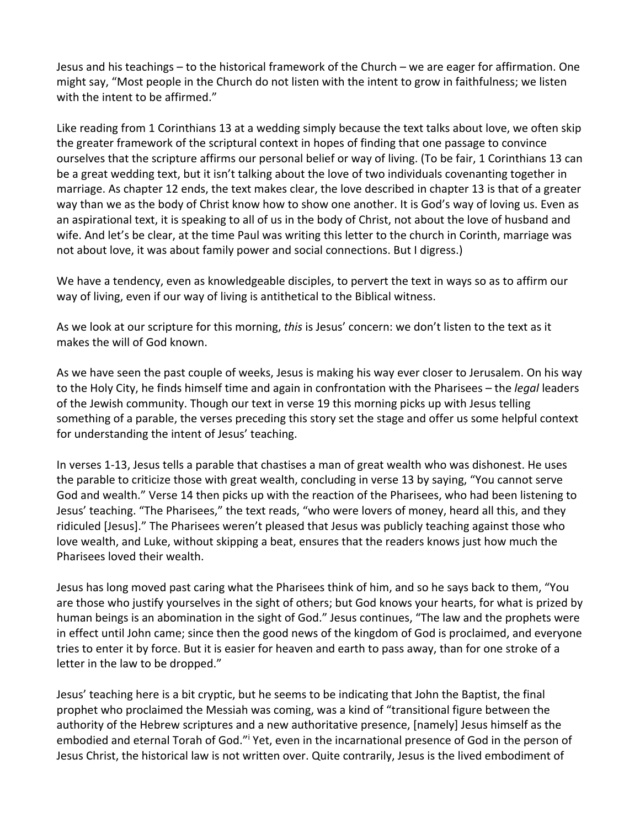Jesus and his teachings – to the historical framework of the Church – we are eager for affirmation. One might say, "Most people in the Church do not listen with the intent to grow in faithfulness; we listen with the intent to be affirmed."

Like reading from 1 Corinthians 13 at a wedding simply because the text talks about love, we often skip the greater framework of the scriptural context in hopes of finding that one passage to convince ourselves that the scripture affirms our personal belief or way of living. (To be fair, 1 Corinthians 13 can be a great wedding text, but it isn't talking about the love of two individuals covenanting together in marriage. As chapter 12 ends, the text makes clear, the love described in chapter 13 is that of a greater way than we as the body of Christ know how to show one another. It is God's way of loving us. Even as an aspirational text, it is speaking to all of us in the body of Christ, not about the love of husband and wife. And let's be clear, at the time Paul was writing this letter to the church in Corinth, marriage was not about love, it was about family power and social connections. But I digress.)

We have a tendency, even as knowledgeable disciples, to pervert the text in ways so as to affirm our way of living, even if our way of living is antithetical to the Biblical witness.

As we look at our scripture for this morning, *this* is Jesus' concern: we don't listen to the text as it makes the will of God known.

As we have seen the past couple of weeks, Jesus is making his way ever closer to Jerusalem. On his way to the Holy City, he finds himself time and again in confrontation with the Pharisees – the *legal* leaders of the Jewish community. Though our text in verse 19 this morning picks up with Jesus telling something of a parable, the verses preceding this story set the stage and offer us some helpful context for understanding the intent of Jesus' teaching.

In verses 1-13, Jesus tells a parable that chastises a man of great wealth who was dishonest. He uses the parable to criticize those with great wealth, concluding in verse 13 by saying, "You cannot serve God and wealth." Verse 14 then picks up with the reaction of the Pharisees, who had been listening to Jesus' teaching. "The Pharisees," the text reads, "who were lovers of money, heard all this, and they ridiculed [Jesus]." The Pharisees weren't pleased that Jesus was publicly teaching against those who love wealth, and Luke, without skipping a beat, ensures that the readers knows just how much the Pharisees loved their wealth.

Jesus has long moved past caring what the Pharisees think of him, and so he says back to them, "You are those who justify yourselves in the sight of others; but God knows your hearts, for what is prized by human beings is an abomination in the sight of God." Jesus continues, "The law and the prophets were in effect until John came; since then the good news of the kingdom of God is proclaimed, and everyone tries to enter it by force. But it is easier for heaven and earth to pass away, than for one stroke of a letter in the law to be dropped."

Jesus' teaching here is a bit cryptic, but he seems to be indicating that John the Baptist, the final prophet who proclaimed the Messiah was coming, was a kind of "transitional figure between the authority of the Hebrew scriptures and a new authoritative presence, [namely] Jesus himself as the embodied and eternal Torah of God."i Yet, even in the incarnational presence of God in the person of Jesus Christ, the historical law is not written over. Quite contrarily, Jesus is the lived embodiment of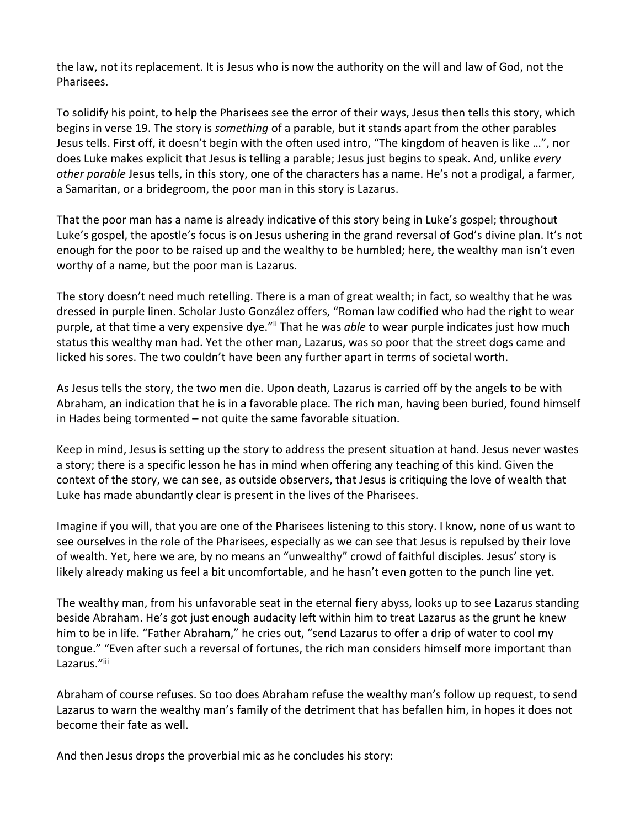the law, not its replacement. It is Jesus who is now the authority on the will and law of God, not the Pharisees.

To solidify his point, to help the Pharisees see the error of their ways, Jesus then tells this story, which begins in verse 19. The story is *something* of a parable, but it stands apart from the other parables Jesus tells. First off, it doesn't begin with the often used intro, "The kingdom of heaven is like …", nor does Luke makes explicit that Jesus is telling a parable; Jesus just begins to speak. And, unlike *every other parable* Jesus tells, in this story, one of the characters has a name. He's not a prodigal, a farmer, a Samaritan, or a bridegroom, the poor man in this story is Lazarus.

That the poor man has a name is already indicative of this story being in Luke's gospel; throughout Luke's gospel, the apostle's focus is on Jesus ushering in the grand reversal of God's divine plan. It's not enough for the poor to be raised up and the wealthy to be humbled; here, the wealthy man isn't even worthy of a name, but the poor man is Lazarus.

The story doesn't need much retelling. There is a man of great wealth; in fact, so wealthy that he was dressed in purple linen. Scholar Justo González offers, "Roman law codified who had the right to wear purple, at that time a very expensive dye."<sup>ii</sup> That he was *able* to wear purple indicates just how much status this wealthy man had. Yet the other man, Lazarus, was so poor that the street dogs came and licked his sores. The two couldn't have been any further apart in terms of societal worth.

As Jesus tells the story, the two men die. Upon death, Lazarus is carried off by the angels to be with Abraham, an indication that he is in a favorable place. The rich man, having been buried, found himself in Hades being tormented – not quite the same favorable situation.

Keep in mind, Jesus is setting up the story to address the present situation at hand. Jesus never wastes a story; there is a specific lesson he has in mind when offering any teaching of this kind. Given the context of the story, we can see, as outside observers, that Jesus is critiquing the love of wealth that Luke has made abundantly clear is present in the lives of the Pharisees.

Imagine if you will, that you are one of the Pharisees listening to this story. I know, none of us want to see ourselves in the role of the Pharisees, especially as we can see that Jesus is repulsed by their love of wealth. Yet, here we are, by no means an "unwealthy" crowd of faithful disciples. Jesus' story is likely already making us feel a bit uncomfortable, and he hasn't even gotten to the punch line yet.

The wealthy man, from his unfavorable seat in the eternal fiery abyss, looks up to see Lazarus standing beside Abraham. He's got just enough audacity left within him to treat Lazarus as the grunt he knew him to be in life. "Father Abraham," he cries out, "send Lazarus to offer a drip of water to cool my tongue." "Even after such a reversal of fortunes, the rich man considers himself more important than Lazarus."iii

Abraham of course refuses. So too does Abraham refuse the wealthy man's follow up request, to send Lazarus to warn the wealthy man's family of the detriment that has befallen him, in hopes it does not become their fate as well.

And then Jesus drops the proverbial mic as he concludes his story: